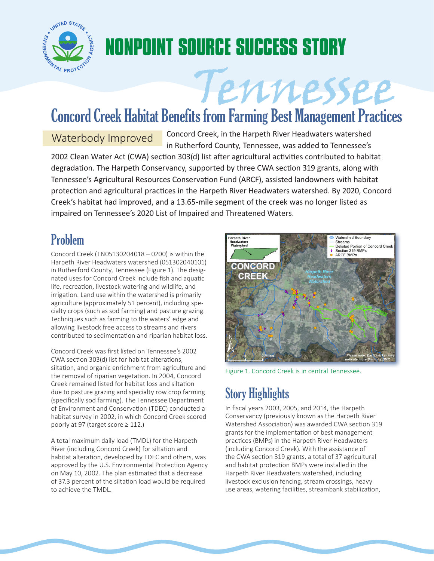

## **NONPOINT SOURCE SUCCESS STORY**

# Tennessee Concord Creek Habitat Benefits from Farming Best Management Practices

Waterbody Improved Concord Creek, in the Harpeth River Headwaters watershed in Rutherford County, Tennessee, was added to Tennessee's 2002 Clean Water Act (CWA) section 303(d) list after agricultural activities contributed to habitat

degradation. The Harpeth Conservancy, supported by three CWA section 319 grants, along with Tennessee's Agricultural Resources Conservation Fund (ARCF), assisted landowners with habitat protection and agricultural practices in the Harpeth River Headwaters watershed. By 2020, Concord Creek's habitat had improved, and a 13.65-mile segment of the creek was no longer listed as impaired on Tennessee's 2020 List of Impaired and Threatened Waters.

### Problem

Concord Creek (TN05130204018 – 0200) is within the Harpeth River Headwaters watershed (051302040101) in Rutherford County, Tennessee (Figure 1). The designated uses for Concord Creek include fish and aquatic life, recreation, livestock watering and wildlife, and irrigation. Land use within the watershed is primarily agriculture (approximately 51 percent), including specialty crops (such as sod farming) and pasture grazing. Techniques such as farming to the waters' edge and allowing livestock free access to streams and rivers contributed to sedimentation and riparian habitat loss.

Concord Creek was first listed on Tennessee's 2002 CWA section 303(d) list for habitat alterations, siltation, and organic enrichment from agriculture and the removal of riparian vegetation. In 2004, Concord Creek remained listed for habitat loss and siltation due to pasture grazing and specialty row crop farming (specifically sod farming). The Tennessee Department of Environment and Conservation (TDEC) conducted a habitat survey in 2002, in which Concord Creek scored poorly at 97 (target score ≥ 112.)

A total maximum daily load (TMDL) for the Harpeth River (including Concord Creek) for siltation and habitat alteration, developed by TDEC and others, was approved by the U.S. Environmental Protection Agency on May 10, 2002. The plan estimated that a decrease of 37.3 percent of the siltation load would be required to achieve the TMDL.



Figure 1. Concord Creek is in central Tennessee.

## Story Highlights

In fiscal years 2003, 2005, and 2014, the Harpeth Conservancy (previously known as the Harpeth River Watershed Association) was awarded CWA section 319 grants for the implementation of best management practices (BMPs) in the Harpeth River Headwaters (including Concord Creek). With the assistance of the CWA section 319 grants, a total of 37 agricultural and habitat protection BMPs were installed in the Harpeth River Headwaters watershed, including livestock exclusion fencing, stream crossings, heavy use areas, watering facilities, streambank stabilization,